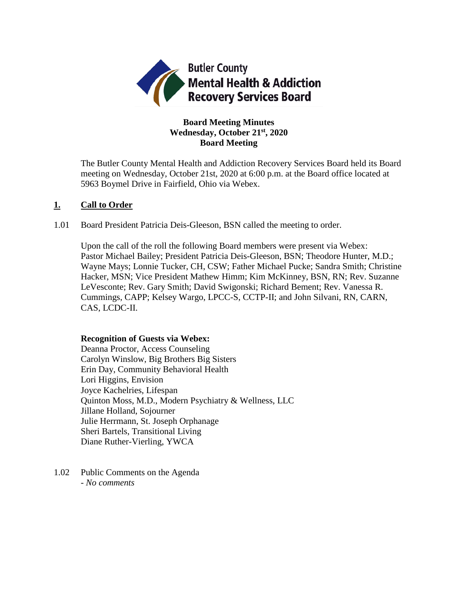

# **Board Meeting Minutes Wednesday, October 21st, 2020 Board Meeting**

The Butler County Mental Health and Addiction Recovery Services Board held its Board meeting on Wednesday, October 21st, 2020 at 6:00 p.m. at the Board office located at 5963 Boymel Drive in Fairfield, Ohio via Webex.

## **1. Call to Order**

1.01 Board President Patricia Deis-Gleeson, BSN called the meeting to order.

Upon the call of the roll the following Board members were present via Webex: Pastor Michael Bailey; President Patricia Deis-Gleeson, BSN; Theodore Hunter, M.D.; Wayne Mays; Lonnie Tucker, CH, CSW; Father Michael Pucke; Sandra Smith; Christine Hacker, MSN; Vice President Mathew Himm; Kim McKinney, BSN, RN; Rev. Suzanne LeVesconte; Rev. Gary Smith; David Swigonski; Richard Bement; Rev. Vanessa R. Cummings, CAPP; Kelsey Wargo, LPCC-S, CCTP-II; and John Silvani, RN, CARN, CAS, LCDC-II.

### **Recognition of Guests via Webex:**

Deanna Proctor, Access Counseling Carolyn Winslow, Big Brothers Big Sisters Erin Day, Community Behavioral Health Lori Higgins, Envision Joyce Kachelries, Lifespan Quinton Moss, M.D., Modern Psychiatry & Wellness, LLC Jillane Holland, Sojourner Julie Herrmann, St. Joseph Orphanage Sheri Bartels, Transitional Living Diane Ruther-Vierling, YWCA

1.02 Public Comments on the Agenda - *No comments*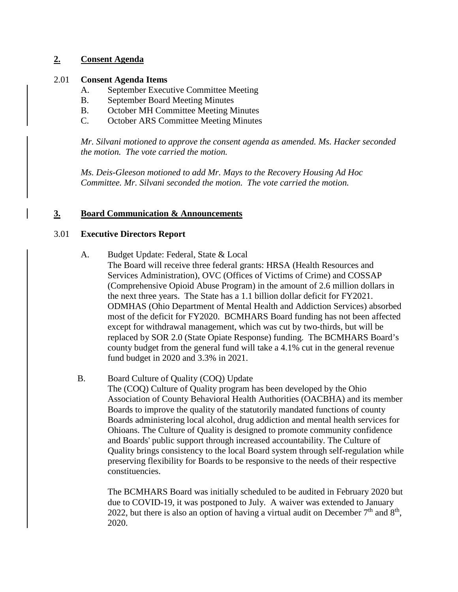# **2. Consent Agenda**

## 2.01 **Consent Agenda Items**

- A. September Executive Committee Meeting
- B. September Board Meeting Minutes
- B. October MH Committee Meeting Minutes
- C. October ARS Committee Meeting Minutes

*Mr. Silvani motioned to approve the consent agenda as amended. Ms. Hacker seconded the motion. The vote carried the motion.*

*Ms. Deis-Gleeson motioned to add Mr. Mays to the Recovery Housing Ad Hoc Committee. Mr. Silvani seconded the motion. The vote carried the motion.*

# **3. Board Communication & Announcements**

## 3.01 **Executive Directors Report**

- A. Budget Update: Federal, State & Local
	- The Board will receive three federal grants: HRSA (Health Resources and Services Administration), OVC (Offices of Victims of Crime) and COSSAP (Comprehensive Opioid Abuse Program) in the amount of 2.6 million dollars in the next three years. The State has a 1.1 billion dollar deficit for FY2021. ODMHAS (Ohio Department of Mental Health and Addiction Services) absorbed most of the deficit for FY2020. BCMHARS Board funding has not been affected except for withdrawal management, which was cut by two-thirds, but will be replaced by SOR 2.0 (State Opiate Response) funding. The BCMHARS Board's county budget from the general fund will take a 4.1% cut in the general revenue fund budget in 2020 and 3.3% in 2021.

# B. Board Culture of Quality (COQ) Update

The (COQ) Culture of Quality program has been developed by the Ohio Association of County Behavioral Health Authorities (OACBHA) and its member Boards to improve the quality of the statutorily mandated functions of county Boards administering local alcohol, drug addiction and mental health services for Ohioans. The Culture of Quality is designed to promote community confidence and Boards' public support through increased accountability. The Culture of Quality brings consistency to the local Board system through self-regulation while preserving flexibility for Boards to be responsive to the needs of their respective constituencies.

The BCMHARS Board was initially scheduled to be audited in February 2020 but due to COVID-19, it was postponed to July. A waiver was extended to January 2022, but there is also an option of having a virtual audit on December  $7<sup>th</sup>$  and  $8<sup>th</sup>$ , 2020.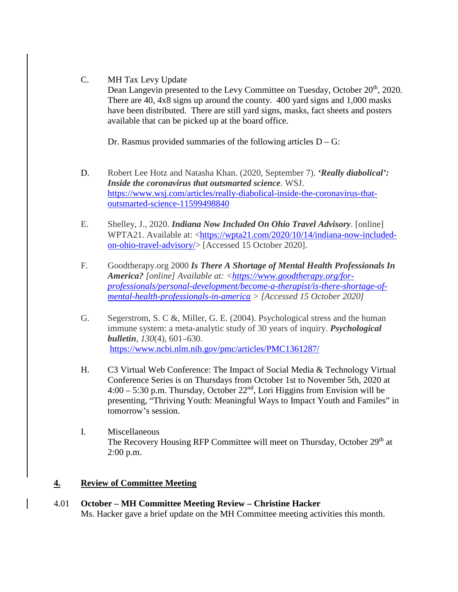## C. MH Tax Levy Update

Dean Langevin presented to the Levy Committee on Tuesday, October 20<sup>th</sup>, 2020. There are 40, 4x8 signs up around the county. 400 yard signs and 1,000 masks have been distributed. There are still yard signs, masks, fact sheets and posters available that can be picked up at the board office.

Dr. Rasmus provided summaries of the following articles  $D - G$ :

- D. Robert Lee Hotz and Natasha Khan. (2020, September 7). *'Really diabolical': Inside the coronavirus that outsmarted science*. WSJ. [https://www.wsj.com/articles/really-diabolical-inside-the-coronavirus-that](https://www.wsj.com/articles/really-diabolical-inside-the-coronavirus-that-outsmarted-science-11599498840)[outsmarted-science-11599498840](https://www.wsj.com/articles/really-diabolical-inside-the-coronavirus-that-outsmarted-science-11599498840)
- E. Shelley, J., 2020. *Indiana Now Included On Ohio Travel Advisory*. [online] WPTA21. Available at: [<https://wpta21.com/2020/10/14/indiana-now-included](https://wpta21.com/2020/10/14/indiana-now-included-on-ohio-travel-advisory/)[on-ohio-travel-advisory/>](https://wpta21.com/2020/10/14/indiana-now-included-on-ohio-travel-advisory/) [Accessed 15 October 2020].
- F. Goodtherapy.org 2000 *Is There A Shortage of Mental Health Professionals In America? [online] Available at: [<https://www.goodtherapy.org/for](https://www.goodtherapy.org/for-professionals/personal-development/become-a-therapist/is-there-shortage-of-mental-health-professionals-in-america)[professionals/personal-development/become-a-therapist/is-there-shortage-of](https://www.goodtherapy.org/for-professionals/personal-development/become-a-therapist/is-there-shortage-of-mental-health-professionals-in-america)[mental-health-professionals-in-america](https://www.goodtherapy.org/for-professionals/personal-development/become-a-therapist/is-there-shortage-of-mental-health-professionals-in-america) > [Accessed 15 October 2020]*
- G. Segerstrom, S. C &, Miller, G. E. (2004). Psychological stress and the human immune system: a meta-analytic study of 30 years of inquiry. *Psychological bulletin*, *130*(4), 601–630. <https://www.ncbi.nlm.nih.gov/pmc/articles/PMC1361287/>
- H. C3 Virtual Web Conference: The Impact of Social Media & Technology Virtual Conference Series is on Thursdays from October 1st to November 5th, 2020 at  $4:00 - 5:30$  p.m. Thursday, October  $22<sup>nd</sup>$ , Lori Higgins from Envision will be presenting, "Thriving Youth: Meaningful Ways to Impact Youth and Familes" in tomorrow's session.
- I. Miscellaneous The Recovery Housing RFP Committee will meet on Thursday, October 29<sup>th</sup> at 2:00 p.m.

# **4. Review of Committee Meeting**

4.01 **October – MH Committee Meeting Review – Christine Hacker** Ms. Hacker gave a brief update on the MH Committee meeting activities this month.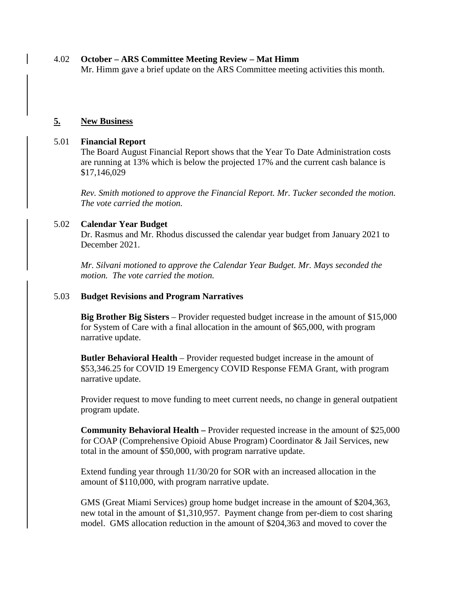#### 4.02 **October – ARS Committee Meeting Review – Mat Himm** Mr. Himm gave a brief update on the ARS Committee meeting activities this month.

### **5. New Business**

### 5.01 **Financial Report**

The Board August Financial Report shows that the Year To Date Administration costs are running at 13% which is below the projected 17% and the current cash balance is \$17,146,029

*Rev. Smith motioned to approve the Financial Report. Mr. Tucker seconded the motion. The vote carried the motion.*

### 5.02 **Calendar Year Budget**

Dr. Rasmus and Mr. Rhodus discussed the calendar year budget from January 2021 to December 2021.

*Mr. Silvani motioned to approve the Calendar Year Budget. Mr. Mays seconded the motion. The vote carried the motion.*

#### 5.03 **Budget Revisions and Program Narratives**

**Big Brother Big Sisters** – Provider requested budget increase in the amount of \$15,000 for System of Care with a final allocation in the amount of \$65,000, with program narrative update.

**Butler Behavioral Health** – Provider requested budget increase in the amount of \$53,346.25 for COVID 19 Emergency COVID Response FEMA Grant, with program narrative update.

Provider request to move funding to meet current needs, no change in general outpatient program update.

**Community Behavioral Health –** Provider requested increase in the amount of \$25,000 for COAP (Comprehensive Opioid Abuse Program) Coordinator & Jail Services, new total in the amount of \$50,000, with program narrative update.

Extend funding year through 11/30/20 for SOR with an increased allocation in the amount of \$110,000, with program narrative update.

GMS (Great Miami Services) group home budget increase in the amount of \$204,363, new total in the amount of \$1,310,957. Payment change from per-diem to cost sharing model. GMS allocation reduction in the amount of \$204,363 and moved to cover the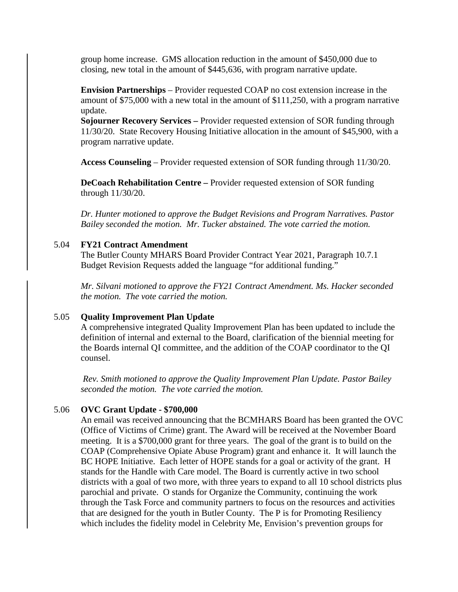group home increase. GMS allocation reduction in the amount of \$450,000 due to closing, new total in the amount of \$445,636, with program narrative update.

**Envision Partnerships** – Provider requested COAP no cost extension increase in the amount of \$75,000 with a new total in the amount of \$111,250, with a program narrative update.

**Sojourner Recovery Services –** Provider requested extension of SOR funding through 11/30/20. State Recovery Housing Initiative allocation in the amount of \$45,900, with a program narrative update.

**Access Counseling** – Provider requested extension of SOR funding through 11/30/20.

**DeCoach Rehabilitation Centre –** Provider requested extension of SOR funding through 11/30/20.

*Dr. Hunter motioned to approve the Budget Revisions and Program Narratives. Pastor Bailey seconded the motion. Mr. Tucker abstained. The vote carried the motion.*

#### 5.04 **FY21 Contract Amendment**

The Butler County MHARS Board Provider Contract Year 2021, Paragraph 10.7.1 Budget Revision Requests added the language "for additional funding."

*Mr. Silvani motioned to approve the FY21 Contract Amendment. Ms. Hacker seconded the motion. The vote carried the motion.*

#### 5.05 **Quality Improvement Plan Update**

A comprehensive integrated Quality Improvement Plan has been updated to include the definition of internal and external to the Board, clarification of the biennial meeting for the Boards internal QI committee, and the addition of the COAP coordinator to the QI counsel.

*Rev. Smith motioned to approve the Quality Improvement Plan Update. Pastor Bailey seconded the motion. The vote carried the motion.*

#### 5.06 **OVC Grant Update - \$700,000**

An email was received announcing that the BCMHARS Board has been granted the OVC (Office of Victims of Crime) grant. The Award will be received at the November Board meeting. It is a \$700,000 grant for three years. The goal of the grant is to build on the COAP (Comprehensive Opiate Abuse Program) grant and enhance it. It will launch the BC HOPE Initiative. Each letter of HOPE stands for a goal or activity of the grant. H stands for the Handle with Care model. The Board is currently active in two school districts with a goal of two more, with three years to expand to all 10 school districts plus parochial and private. O stands for Organize the Community, continuing the work through the Task Force and community partners to focus on the resources and activities that are designed for the youth in Butler County. The P is for Promoting Resiliency which includes the fidelity model in Celebrity Me, Envision's prevention groups for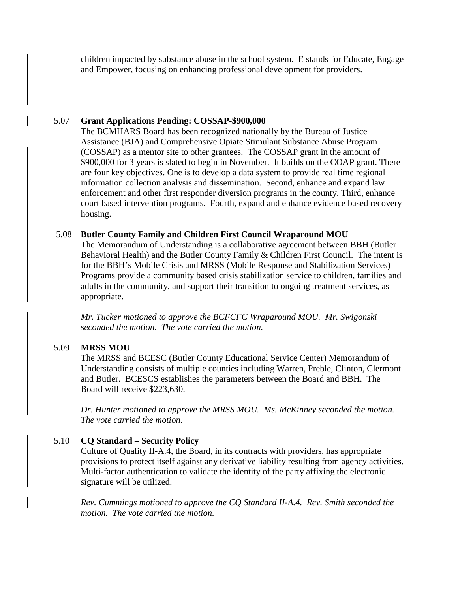children impacted by substance abuse in the school system. E stands for Educate, Engage and Empower, focusing on enhancing professional development for providers.

## 5.07 **Grant Applications Pending: COSSAP-\$900,000**

The BCMHARS Board has been recognized nationally by the Bureau of Justice Assistance (BJA) and Comprehensive Opiate Stimulant Substance Abuse Program (COSSAP) as a mentor site to other grantees. The COSSAP grant in the amount of \$900,000 for 3 years is slated to begin in November. It builds on the COAP grant. There are four key objectives. One is to develop a data system to provide real time regional information collection analysis and dissemination. Second, enhance and expand law enforcement and other first responder diversion programs in the county. Third, enhance court based intervention programs. Fourth, expand and enhance evidence based recovery housing.

## 5.08 **Butler County Family and Children First Council Wraparound MOU**

The Memorandum of Understanding is a collaborative agreement between BBH (Butler Behavioral Health) and the Butler County Family & Children First Council. The intent is for the BBH's Mobile Crisis and MRSS (Mobile Response and Stabilization Services) Programs provide a community based crisis stabilization service to children, families and adults in the community, and support their transition to ongoing treatment services, as appropriate.

*Mr. Tucker motioned to approve the BCFCFC Wraparound MOU. Mr. Swigonski seconded the motion. The vote carried the motion.* 

# 5.09 **MRSS MOU**

The MRSS and BCESC (Butler County Educational Service Center) Memorandum of Understanding consists of multiple counties including Warren, Preble, Clinton, Clermont and Butler. BCESCS establishes the parameters between the Board and BBH. The Board will receive \$223,630.

*Dr. Hunter motioned to approve the MRSS MOU. Ms. McKinney seconded the motion. The vote carried the motion.* 

# 5.10 **CQ Standard – Security Policy**

Culture of Quality II-A.4, the Board, in its contracts with providers, has appropriate provisions to protect itself against any derivative liability resulting from agency activities. Multi-factor authentication to validate the identity of the party affixing the electronic signature will be utilized.

*Rev. Cummings motioned to approve the CQ Standard II-A.4. Rev. Smith seconded the motion. The vote carried the motion.*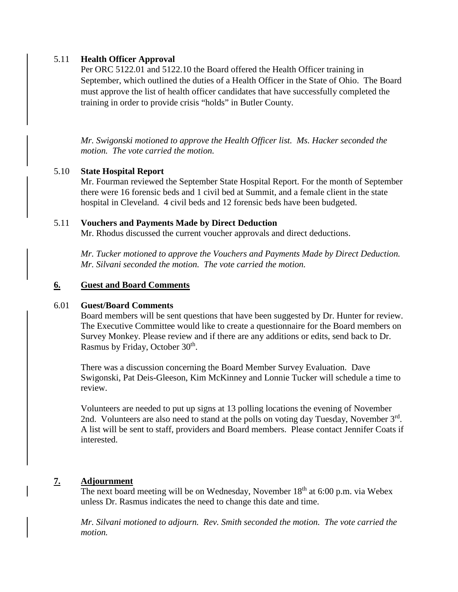## 5.11 **Health Officer Approval**

Per ORC 5122.01 and 5122.10 the Board offered the Health Officer training in September, which outlined the duties of a Health Officer in the State of Ohio. The Board must approve the list of health officer candidates that have successfully completed the training in order to provide crisis "holds" in Butler County.

*Mr. Swigonski motioned to approve the Health Officer list. Ms. Hacker seconded the motion. The vote carried the motion.* 

### 5.10 **State Hospital Report**

Mr. Fourman reviewed the September State Hospital Report. For the month of September there were 16 forensic beds and 1 civil bed at Summit, and a female client in the state hospital in Cleveland. 4 civil beds and 12 forensic beds have been budgeted.

#### 5.11 **Vouchers and Payments Made by Direct Deduction**

Mr. Rhodus discussed the current voucher approvals and direct deductions.

*Mr. Tucker motioned to approve the Vouchers and Payments Made by Direct Deduction. Mr. Silvani seconded the motion. The vote carried the motion.* 

#### **6. Guest and Board Comments**

#### 6.01 **Guest/Board Comments**

Board members will be sent questions that have been suggested by Dr. Hunter for review. The Executive Committee would like to create a questionnaire for the Board members on Survey Monkey. Please review and if there are any additions or edits, send back to Dr. Rasmus by Friday, October 30<sup>th</sup>.

There was a discussion concerning the Board Member Survey Evaluation. Dave Swigonski, Pat Deis-Gleeson, Kim McKinney and Lonnie Tucker will schedule a time to review.

Volunteers are needed to put up signs at 13 polling locations the evening of November 2nd. Volunteers are also need to stand at the polls on voting day Tuesday, November 3rd. A list will be sent to staff, providers and Board members. Please contact Jennifer Coats if interested.

## **7. Adjournment**

The next board meeting will be on Wednesday, November  $18<sup>th</sup>$  at 6:00 p.m. via Webex unless Dr. Rasmus indicates the need to change this date and time.

*Mr. Silvani motioned to adjourn. Rev. Smith seconded the motion. The vote carried the motion.*